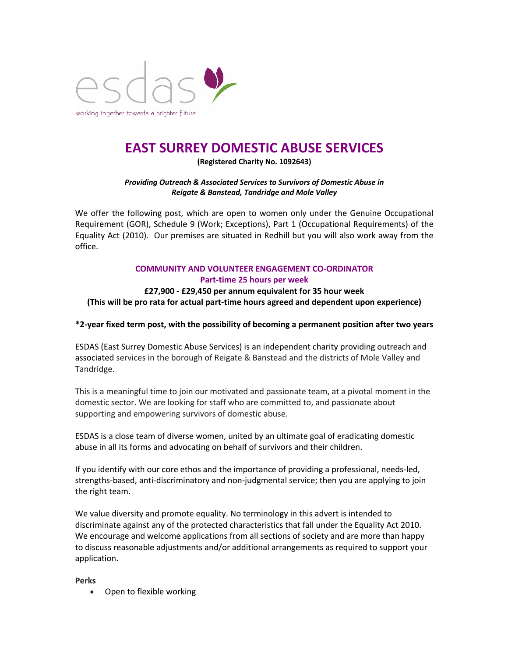

# **EAST SURREY DOMESTIC ABUSE SERVICES**

**(Registered Charity No. 1092643)**

#### *Providing Outreach & Associated Services to Survivors of Domestic Abuse in Reigate & Banstead, Tandridge and Mole Valley*

We offer the following post, which are open to women only under the Genuine Occupational Requirement (GOR), Schedule 9 (Work; Exceptions), Part 1 (Occupational Requirements) of the Equality Act (2010). Our premises are situated in Redhill but you will also work away from the office.

#### **COMMUNITY AND VOLUNTEER ENGAGEMENT CO-ORDINATOR Part-time 25 hours per week**

### **£27,900 - £29,450 per annum equivalent for 35 hour week (This will be pro rata for actual part-time hours agreed and dependent upon experience)**

#### **\*2-year fixed term post, with the possibility of becoming a permanent position after two years**

ESDAS (East Surrey Domestic Abuse Services) is an independent charity providing outreach and associated services in the borough of Reigate & Banstead and the districts of Mole Valley and Tandridge.

This is a meaningful time to join our motivated and passionate team, at a pivotal moment in the domestic sector. We are looking for staff who are committed to, and passionate about supporting and empowering survivors of domestic abuse.

ESDAS is a close team of diverse women, united by an ultimate goal of eradicating domestic abuse in all its forms and advocating on behalf of survivors and their children.

If you identify with our core ethos and the importance of providing a professional, needs-led, strengths-based, anti-discriminatory and non-judgmental service; then you are applying to join the right team.

We value diversity and promote equality. No terminology in this advert is intended to discriminate against any of the protected characteristics that fall under the Equality Act 2010. We encourage and welcome applications from all sections of society and are more than happy to discuss reasonable adjustments and/or additional arrangements as required to support your application.

#### **Perks**

• Open to flexible working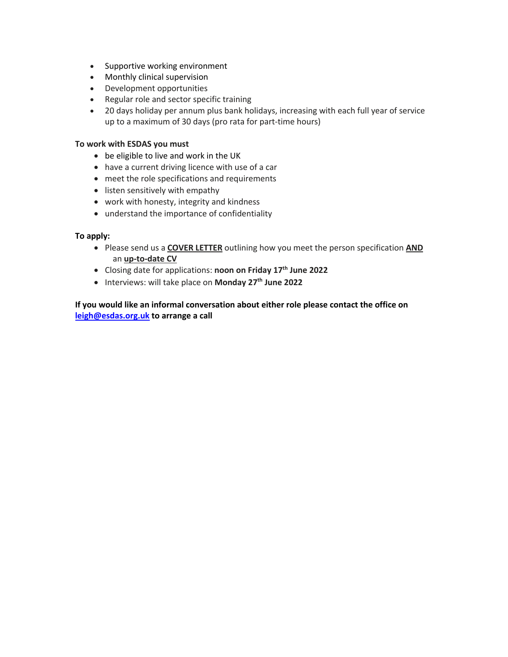- Supportive working environment
- Monthly clinical supervision
- Development opportunities
- Regular role and sector specific training
- 20 days holiday per annum plus bank holidays, increasing with each full year of service up to a maximum of 30 days (pro rata for part-time hours)

#### **To work with ESDAS you must**

- be eligible to live and work in the UK
- have a current driving licence with use of a car
- meet the role specifications and requirements
- listen sensitively with empathy
- work with honesty, integrity and kindness
- understand the importance of confidentiality

#### **To apply:**

- Please send us a **COVER LETTER** outlining how you meet the person specification **AND** an **up-to-date CV**
- Closing date for applications: **noon on Friday 17th June 2022**
- Interviews: will take place on **Monday 27th June 2022**

**If you would like an informal conversation about either role please contact the office on leigh@esdas.org.uk to arrange a call**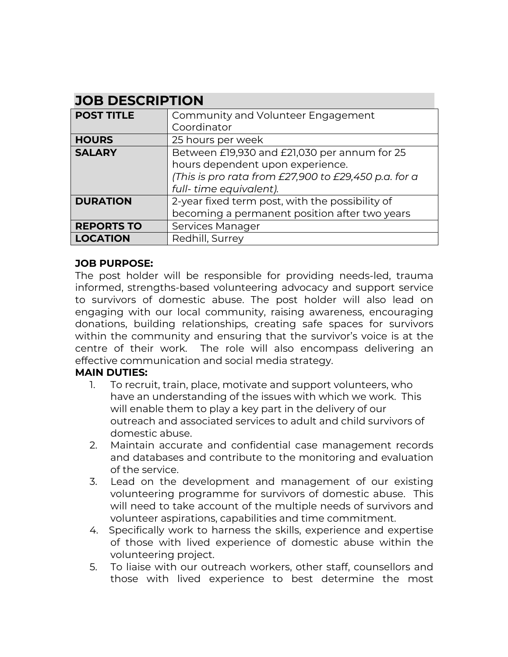## **JOB DESCRIPTION**

| <b>POST TITLE</b> | Community and Volunteer Engagement                   |
|-------------------|------------------------------------------------------|
|                   | Coordinator                                          |
| <b>HOURS</b>      | 25 hours per week                                    |
| <b>SALARY</b>     | Between £19,930 and £21,030 per annum for 25         |
|                   | hours dependent upon experience.                     |
|                   | (This is pro rata from £27,900 to £29,450 p.a. for a |
|                   | full-time equivalent).                               |
| <b>DURATION</b>   | 2-year fixed term post, with the possibility of      |
|                   | becoming a permanent position after two years        |
| <b>REPORTS TO</b> | Services Manager                                     |
| <b>LOCATION</b>   | Redhill, Surrey                                      |

### **JOB PURPOSE:**

The post holder will be responsible for providing needs-led, trauma informed, strengths-based volunteering advocacy and support service to survivors of domestic abuse. The post holder will also lead on engaging with our local community, raising awareness, encouraging donations, building relationships, creating safe spaces for survivors within the community and ensuring that the survivor's voice is at the centre of their work. The role will also encompass delivering an effective communication and social media strategy.

### **MAIN DUTIES:**

- 1. To recruit, train, place, motivate and support volunteers, who have an understanding of the issues with which we work. This will enable them to play a key part in the delivery of our outreach and associated services to adult and child survivors of domestic abuse.
- 2. Maintain accurate and confidential case management records and databases and contribute to the monitoring and evaluation of the service.
- 3. Lead on the development and management of our existing volunteering programme for survivors of domestic abuse. This will need to take account of the multiple needs of survivors and volunteer aspirations, capabilities and time commitment.
- 4. Specifically work to harness the skills, experience and expertise of those with lived experience of domestic abuse within the volunteering project.
- 5. To liaise with our outreach workers, other staff, counsellors and those with lived experience to best determine the most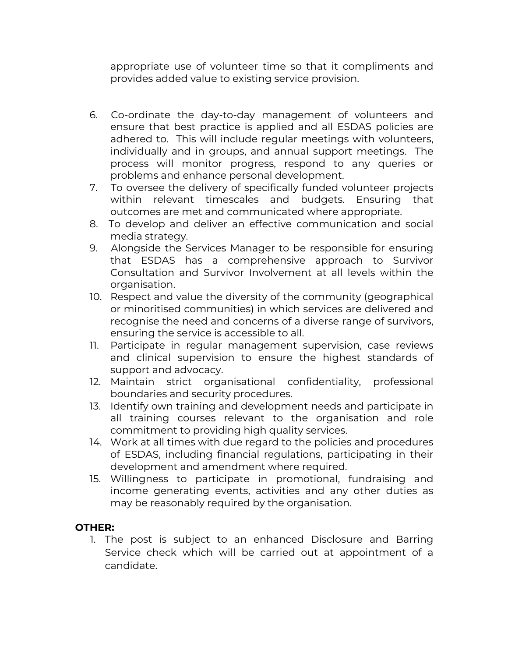appropriate use of volunteer time so that it compliments and provides added value to existing service provision.

- 6. Co-ordinate the day-to-day management of volunteers and ensure that best practice is applied and all ESDAS policies are adhered to. This will include regular meetings with volunteers, individually and in groups, and annual support meetings. The process will monitor progress, respond to any queries or problems and enhance personal development.
- 7. To oversee the delivery of specifically funded volunteer projects within relevant timescales and budgets. Ensuring that outcomes are met and communicated where appropriate.
- 8. To develop and deliver an effective communication and social media strategy.
- 9. Alongside the Services Manager to be responsible for ensuring that ESDAS has a comprehensive approach to Survivor Consultation and Survivor Involvement at all levels within the organisation.
- 10. Respect and value the diversity of the community (geographical or minoritised communities) in which services are delivered and recognise the need and concerns of a diverse range of survivors, ensuring the service is accessible to all.
- 11. Participate in regular management supervision, case reviews and clinical supervision to ensure the highest standards of support and advocacy.
- 12. Maintain strict organisational confidentiality, professional boundaries and security procedures.
- 13. Identify own training and development needs and participate in all training courses relevant to the organisation and role commitment to providing high quality services.
- 14. Work at all times with due regard to the policies and procedures of ESDAS, including financial regulations, participating in their development and amendment where required.
- 15. Willingness to participate in promotional, fundraising and income generating events, activities and any other duties as may be reasonably required by the organisation.

## **OTHER:**

1. The post is subject to an enhanced Disclosure and Barring Service check which will be carried out at appointment of a candidate.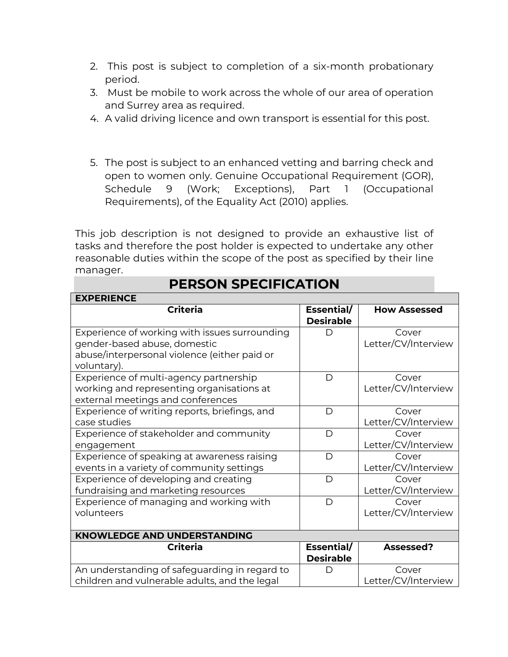- 2. This post is subject to completion of a six-month probationary period.
- 3. Must be mobile to work across the whole of our area of operation and Surrey area as required.
- 4. A valid driving licence and own transport is essential for this post.
- 5. The post is subject to an enhanced vetting and barring check and open to women only. Genuine Occupational Requirement (GOR), Schedule 9 (Work; Exceptions), Part 1 (Occupational Requirements), of the Equality Act (2010) applies.

This job description is not designed to provide an exhaustive list of tasks and therefore the post holder is expected to undertake any other reasonable duties within the scope of the post as specified by their line manager.

| <b>EXPERIENCE</b>                             |                  |                     |  |  |
|-----------------------------------------------|------------------|---------------------|--|--|
| <b>Criteria</b>                               | Essential/       | <b>How Assessed</b> |  |  |
|                                               | <b>Desirable</b> |                     |  |  |
| Experience of working with issues surrounding | D                | Cover               |  |  |
| gender-based abuse, domestic                  |                  | Letter/CV/Interview |  |  |
| abuse/interpersonal violence (either paid or  |                  |                     |  |  |
| voluntary).                                   |                  |                     |  |  |
| Experience of multi-agency partnership        | D                | Cover               |  |  |
| working and representing organisations at     |                  | Letter/CV/Interview |  |  |
| external meetings and conferences             |                  |                     |  |  |
| Experience of writing reports, briefings, and | D                | Cover               |  |  |
| case studies                                  |                  | Letter/CV/Interview |  |  |
| Experience of stakeholder and community       | D                | Cover               |  |  |
| engagement                                    |                  | Letter/CV/Interview |  |  |
| Experience of speaking at awareness raising   | D                | Cover               |  |  |
| events in a variety of community settings     |                  | Letter/CV/Interview |  |  |
| Experience of developing and creating         | D                | Cover               |  |  |
| fundraising and marketing resources           |                  | Letter/CV/Interview |  |  |
| Experience of managing and working with       | D                | Cover               |  |  |
| volunteers                                    |                  | Letter/CV/Interview |  |  |
|                                               |                  |                     |  |  |
| <b>KNOWLEDGE AND UNDERSTANDING</b>            |                  |                     |  |  |
| <b>Criteria</b>                               | Essential/       | Assessed?           |  |  |
|                                               | <b>Desirable</b> |                     |  |  |
| An understanding of safeguarding in regard to |                  | Cover               |  |  |
| children and vulnerable adults, and the legal |                  | Letter/CV/Interview |  |  |

# **PERSON SPECIFICATION**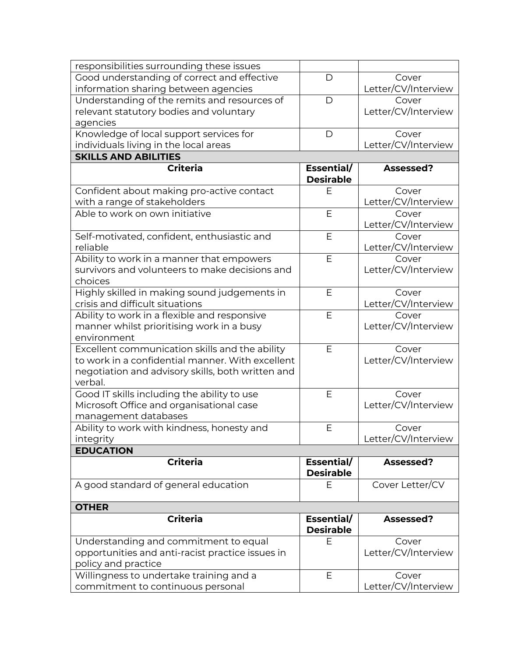| Good understanding of correct and effective<br>D<br>Cover<br>Letter/CV/Interview<br>information sharing between agencies<br>Understanding of the remits and resources of<br>D<br>Cover<br>Letter/CV/Interview<br>relevant statutory bodies and voluntary<br>agencies<br>Knowledge of local support services for<br>$\mathsf{D}$<br>Cover<br>Letter/CV/Interview<br>individuals living in the local areas<br><b>SKILLS AND ABILITIES</b><br><b>Criteria</b><br>Essential/<br>Assessed?<br><b>Desirable</b><br>Confident about making pro-active contact<br>Ε<br>Cover<br>with a range of stakeholders<br>Letter/CV/Interview<br>Able to work on own initiative<br>E<br>Cover<br>Letter/CV/Interview<br>E<br>Self-motivated, confident, enthusiastic and<br>Cover<br>Letter/CV/Interview<br>reliable<br>Ability to work in a manner that empowers<br>E<br>Cover<br>Letter/CV/Interview<br>survivors and volunteers to make decisions and<br>choices<br>Highly skilled in making sound judgements in<br>E<br>Cover<br>Letter/CV/Interview<br>crisis and difficult situations<br>Ability to work in a flexible and responsive<br>E<br>Cover<br>Letter/CV/Interview<br>manner whilst prioritising work in a busy<br>environment<br>Excellent communication skills and the ability<br>E<br>Cover<br>Letter/CV/Interview<br>to work in a confidential manner. With excellent<br>negotiation and advisory skills, both written and<br>verbal.<br>Good IT skills including the ability to use<br>E<br>Cover<br>Letter/CV/Interview<br>Microsoft Office and organisational case<br>management databases<br>Ability to work with kindness, honesty and<br>Ε<br>Cover<br>Letter/CV/Interview<br>integrity<br><b>EDUCATION</b><br><b>Criteria</b><br>Essential/<br>Assessed?<br><b>Desirable</b><br>A good standard of general education<br>Cover Letter/CV<br>Ε<br><b>OTHER</b><br><b>Criteria</b><br>Essential/<br>Assessed?<br><b>Desirable</b><br>Understanding and commitment to equal<br>E<br>Cover<br>Letter/CV/Interview<br>opportunities and anti-racist practice issues in<br>policy and practice<br>Willingness to undertake training and a<br>E<br>Cover<br>commitment to continuous personal | responsibilities surrounding these issues |                     |
|----------------------------------------------------------------------------------------------------------------------------------------------------------------------------------------------------------------------------------------------------------------------------------------------------------------------------------------------------------------------------------------------------------------------------------------------------------------------------------------------------------------------------------------------------------------------------------------------------------------------------------------------------------------------------------------------------------------------------------------------------------------------------------------------------------------------------------------------------------------------------------------------------------------------------------------------------------------------------------------------------------------------------------------------------------------------------------------------------------------------------------------------------------------------------------------------------------------------------------------------------------------------------------------------------------------------------------------------------------------------------------------------------------------------------------------------------------------------------------------------------------------------------------------------------------------------------------------------------------------------------------------------------------------------------------------------------------------------------------------------------------------------------------------------------------------------------------------------------------------------------------------------------------------------------------------------------------------------------------------------------------------------------------------------------------------------------------------------------------------------------------------------------------------------------------------------|-------------------------------------------|---------------------|
|                                                                                                                                                                                                                                                                                                                                                                                                                                                                                                                                                                                                                                                                                                                                                                                                                                                                                                                                                                                                                                                                                                                                                                                                                                                                                                                                                                                                                                                                                                                                                                                                                                                                                                                                                                                                                                                                                                                                                                                                                                                                                                                                                                                              |                                           |                     |
|                                                                                                                                                                                                                                                                                                                                                                                                                                                                                                                                                                                                                                                                                                                                                                                                                                                                                                                                                                                                                                                                                                                                                                                                                                                                                                                                                                                                                                                                                                                                                                                                                                                                                                                                                                                                                                                                                                                                                                                                                                                                                                                                                                                              |                                           |                     |
|                                                                                                                                                                                                                                                                                                                                                                                                                                                                                                                                                                                                                                                                                                                                                                                                                                                                                                                                                                                                                                                                                                                                                                                                                                                                                                                                                                                                                                                                                                                                                                                                                                                                                                                                                                                                                                                                                                                                                                                                                                                                                                                                                                                              |                                           |                     |
|                                                                                                                                                                                                                                                                                                                                                                                                                                                                                                                                                                                                                                                                                                                                                                                                                                                                                                                                                                                                                                                                                                                                                                                                                                                                                                                                                                                                                                                                                                                                                                                                                                                                                                                                                                                                                                                                                                                                                                                                                                                                                                                                                                                              |                                           |                     |
|                                                                                                                                                                                                                                                                                                                                                                                                                                                                                                                                                                                                                                                                                                                                                                                                                                                                                                                                                                                                                                                                                                                                                                                                                                                                                                                                                                                                                                                                                                                                                                                                                                                                                                                                                                                                                                                                                                                                                                                                                                                                                                                                                                                              |                                           |                     |
|                                                                                                                                                                                                                                                                                                                                                                                                                                                                                                                                                                                                                                                                                                                                                                                                                                                                                                                                                                                                                                                                                                                                                                                                                                                                                                                                                                                                                                                                                                                                                                                                                                                                                                                                                                                                                                                                                                                                                                                                                                                                                                                                                                                              |                                           |                     |
|                                                                                                                                                                                                                                                                                                                                                                                                                                                                                                                                                                                                                                                                                                                                                                                                                                                                                                                                                                                                                                                                                                                                                                                                                                                                                                                                                                                                                                                                                                                                                                                                                                                                                                                                                                                                                                                                                                                                                                                                                                                                                                                                                                                              |                                           |                     |
|                                                                                                                                                                                                                                                                                                                                                                                                                                                                                                                                                                                                                                                                                                                                                                                                                                                                                                                                                                                                                                                                                                                                                                                                                                                                                                                                                                                                                                                                                                                                                                                                                                                                                                                                                                                                                                                                                                                                                                                                                                                                                                                                                                                              |                                           |                     |
|                                                                                                                                                                                                                                                                                                                                                                                                                                                                                                                                                                                                                                                                                                                                                                                                                                                                                                                                                                                                                                                                                                                                                                                                                                                                                                                                                                                                                                                                                                                                                                                                                                                                                                                                                                                                                                                                                                                                                                                                                                                                                                                                                                                              |                                           |                     |
|                                                                                                                                                                                                                                                                                                                                                                                                                                                                                                                                                                                                                                                                                                                                                                                                                                                                                                                                                                                                                                                                                                                                                                                                                                                                                                                                                                                                                                                                                                                                                                                                                                                                                                                                                                                                                                                                                                                                                                                                                                                                                                                                                                                              |                                           |                     |
|                                                                                                                                                                                                                                                                                                                                                                                                                                                                                                                                                                                                                                                                                                                                                                                                                                                                                                                                                                                                                                                                                                                                                                                                                                                                                                                                                                                                                                                                                                                                                                                                                                                                                                                                                                                                                                                                                                                                                                                                                                                                                                                                                                                              |                                           |                     |
|                                                                                                                                                                                                                                                                                                                                                                                                                                                                                                                                                                                                                                                                                                                                                                                                                                                                                                                                                                                                                                                                                                                                                                                                                                                                                                                                                                                                                                                                                                                                                                                                                                                                                                                                                                                                                                                                                                                                                                                                                                                                                                                                                                                              |                                           |                     |
|                                                                                                                                                                                                                                                                                                                                                                                                                                                                                                                                                                                                                                                                                                                                                                                                                                                                                                                                                                                                                                                                                                                                                                                                                                                                                                                                                                                                                                                                                                                                                                                                                                                                                                                                                                                                                                                                                                                                                                                                                                                                                                                                                                                              |                                           |                     |
|                                                                                                                                                                                                                                                                                                                                                                                                                                                                                                                                                                                                                                                                                                                                                                                                                                                                                                                                                                                                                                                                                                                                                                                                                                                                                                                                                                                                                                                                                                                                                                                                                                                                                                                                                                                                                                                                                                                                                                                                                                                                                                                                                                                              |                                           |                     |
|                                                                                                                                                                                                                                                                                                                                                                                                                                                                                                                                                                                                                                                                                                                                                                                                                                                                                                                                                                                                                                                                                                                                                                                                                                                                                                                                                                                                                                                                                                                                                                                                                                                                                                                                                                                                                                                                                                                                                                                                                                                                                                                                                                                              |                                           |                     |
|                                                                                                                                                                                                                                                                                                                                                                                                                                                                                                                                                                                                                                                                                                                                                                                                                                                                                                                                                                                                                                                                                                                                                                                                                                                                                                                                                                                                                                                                                                                                                                                                                                                                                                                                                                                                                                                                                                                                                                                                                                                                                                                                                                                              |                                           |                     |
|                                                                                                                                                                                                                                                                                                                                                                                                                                                                                                                                                                                                                                                                                                                                                                                                                                                                                                                                                                                                                                                                                                                                                                                                                                                                                                                                                                                                                                                                                                                                                                                                                                                                                                                                                                                                                                                                                                                                                                                                                                                                                                                                                                                              |                                           |                     |
|                                                                                                                                                                                                                                                                                                                                                                                                                                                                                                                                                                                                                                                                                                                                                                                                                                                                                                                                                                                                                                                                                                                                                                                                                                                                                                                                                                                                                                                                                                                                                                                                                                                                                                                                                                                                                                                                                                                                                                                                                                                                                                                                                                                              |                                           |                     |
|                                                                                                                                                                                                                                                                                                                                                                                                                                                                                                                                                                                                                                                                                                                                                                                                                                                                                                                                                                                                                                                                                                                                                                                                                                                                                                                                                                                                                                                                                                                                                                                                                                                                                                                                                                                                                                                                                                                                                                                                                                                                                                                                                                                              |                                           |                     |
|                                                                                                                                                                                                                                                                                                                                                                                                                                                                                                                                                                                                                                                                                                                                                                                                                                                                                                                                                                                                                                                                                                                                                                                                                                                                                                                                                                                                                                                                                                                                                                                                                                                                                                                                                                                                                                                                                                                                                                                                                                                                                                                                                                                              |                                           |                     |
|                                                                                                                                                                                                                                                                                                                                                                                                                                                                                                                                                                                                                                                                                                                                                                                                                                                                                                                                                                                                                                                                                                                                                                                                                                                                                                                                                                                                                                                                                                                                                                                                                                                                                                                                                                                                                                                                                                                                                                                                                                                                                                                                                                                              |                                           |                     |
|                                                                                                                                                                                                                                                                                                                                                                                                                                                                                                                                                                                                                                                                                                                                                                                                                                                                                                                                                                                                                                                                                                                                                                                                                                                                                                                                                                                                                                                                                                                                                                                                                                                                                                                                                                                                                                                                                                                                                                                                                                                                                                                                                                                              |                                           |                     |
|                                                                                                                                                                                                                                                                                                                                                                                                                                                                                                                                                                                                                                                                                                                                                                                                                                                                                                                                                                                                                                                                                                                                                                                                                                                                                                                                                                                                                                                                                                                                                                                                                                                                                                                                                                                                                                                                                                                                                                                                                                                                                                                                                                                              |                                           |                     |
|                                                                                                                                                                                                                                                                                                                                                                                                                                                                                                                                                                                                                                                                                                                                                                                                                                                                                                                                                                                                                                                                                                                                                                                                                                                                                                                                                                                                                                                                                                                                                                                                                                                                                                                                                                                                                                                                                                                                                                                                                                                                                                                                                                                              |                                           |                     |
|                                                                                                                                                                                                                                                                                                                                                                                                                                                                                                                                                                                                                                                                                                                                                                                                                                                                                                                                                                                                                                                                                                                                                                                                                                                                                                                                                                                                                                                                                                                                                                                                                                                                                                                                                                                                                                                                                                                                                                                                                                                                                                                                                                                              |                                           |                     |
|                                                                                                                                                                                                                                                                                                                                                                                                                                                                                                                                                                                                                                                                                                                                                                                                                                                                                                                                                                                                                                                                                                                                                                                                                                                                                                                                                                                                                                                                                                                                                                                                                                                                                                                                                                                                                                                                                                                                                                                                                                                                                                                                                                                              |                                           |                     |
|                                                                                                                                                                                                                                                                                                                                                                                                                                                                                                                                                                                                                                                                                                                                                                                                                                                                                                                                                                                                                                                                                                                                                                                                                                                                                                                                                                                                                                                                                                                                                                                                                                                                                                                                                                                                                                                                                                                                                                                                                                                                                                                                                                                              |                                           |                     |
|                                                                                                                                                                                                                                                                                                                                                                                                                                                                                                                                                                                                                                                                                                                                                                                                                                                                                                                                                                                                                                                                                                                                                                                                                                                                                                                                                                                                                                                                                                                                                                                                                                                                                                                                                                                                                                                                                                                                                                                                                                                                                                                                                                                              |                                           |                     |
|                                                                                                                                                                                                                                                                                                                                                                                                                                                                                                                                                                                                                                                                                                                                                                                                                                                                                                                                                                                                                                                                                                                                                                                                                                                                                                                                                                                                                                                                                                                                                                                                                                                                                                                                                                                                                                                                                                                                                                                                                                                                                                                                                                                              |                                           |                     |
|                                                                                                                                                                                                                                                                                                                                                                                                                                                                                                                                                                                                                                                                                                                                                                                                                                                                                                                                                                                                                                                                                                                                                                                                                                                                                                                                                                                                                                                                                                                                                                                                                                                                                                                                                                                                                                                                                                                                                                                                                                                                                                                                                                                              |                                           |                     |
|                                                                                                                                                                                                                                                                                                                                                                                                                                                                                                                                                                                                                                                                                                                                                                                                                                                                                                                                                                                                                                                                                                                                                                                                                                                                                                                                                                                                                                                                                                                                                                                                                                                                                                                                                                                                                                                                                                                                                                                                                                                                                                                                                                                              |                                           |                     |
|                                                                                                                                                                                                                                                                                                                                                                                                                                                                                                                                                                                                                                                                                                                                                                                                                                                                                                                                                                                                                                                                                                                                                                                                                                                                                                                                                                                                                                                                                                                                                                                                                                                                                                                                                                                                                                                                                                                                                                                                                                                                                                                                                                                              |                                           |                     |
|                                                                                                                                                                                                                                                                                                                                                                                                                                                                                                                                                                                                                                                                                                                                                                                                                                                                                                                                                                                                                                                                                                                                                                                                                                                                                                                                                                                                                                                                                                                                                                                                                                                                                                                                                                                                                                                                                                                                                                                                                                                                                                                                                                                              |                                           |                     |
|                                                                                                                                                                                                                                                                                                                                                                                                                                                                                                                                                                                                                                                                                                                                                                                                                                                                                                                                                                                                                                                                                                                                                                                                                                                                                                                                                                                                                                                                                                                                                                                                                                                                                                                                                                                                                                                                                                                                                                                                                                                                                                                                                                                              |                                           |                     |
|                                                                                                                                                                                                                                                                                                                                                                                                                                                                                                                                                                                                                                                                                                                                                                                                                                                                                                                                                                                                                                                                                                                                                                                                                                                                                                                                                                                                                                                                                                                                                                                                                                                                                                                                                                                                                                                                                                                                                                                                                                                                                                                                                                                              |                                           |                     |
|                                                                                                                                                                                                                                                                                                                                                                                                                                                                                                                                                                                                                                                                                                                                                                                                                                                                                                                                                                                                                                                                                                                                                                                                                                                                                                                                                                                                                                                                                                                                                                                                                                                                                                                                                                                                                                                                                                                                                                                                                                                                                                                                                                                              |                                           |                     |
|                                                                                                                                                                                                                                                                                                                                                                                                                                                                                                                                                                                                                                                                                                                                                                                                                                                                                                                                                                                                                                                                                                                                                                                                                                                                                                                                                                                                                                                                                                                                                                                                                                                                                                                                                                                                                                                                                                                                                                                                                                                                                                                                                                                              |                                           |                     |
|                                                                                                                                                                                                                                                                                                                                                                                                                                                                                                                                                                                                                                                                                                                                                                                                                                                                                                                                                                                                                                                                                                                                                                                                                                                                                                                                                                                                                                                                                                                                                                                                                                                                                                                                                                                                                                                                                                                                                                                                                                                                                                                                                                                              |                                           |                     |
|                                                                                                                                                                                                                                                                                                                                                                                                                                                                                                                                                                                                                                                                                                                                                                                                                                                                                                                                                                                                                                                                                                                                                                                                                                                                                                                                                                                                                                                                                                                                                                                                                                                                                                                                                                                                                                                                                                                                                                                                                                                                                                                                                                                              |                                           |                     |
|                                                                                                                                                                                                                                                                                                                                                                                                                                                                                                                                                                                                                                                                                                                                                                                                                                                                                                                                                                                                                                                                                                                                                                                                                                                                                                                                                                                                                                                                                                                                                                                                                                                                                                                                                                                                                                                                                                                                                                                                                                                                                                                                                                                              |                                           |                     |
|                                                                                                                                                                                                                                                                                                                                                                                                                                                                                                                                                                                                                                                                                                                                                                                                                                                                                                                                                                                                                                                                                                                                                                                                                                                                                                                                                                                                                                                                                                                                                                                                                                                                                                                                                                                                                                                                                                                                                                                                                                                                                                                                                                                              |                                           |                     |
|                                                                                                                                                                                                                                                                                                                                                                                                                                                                                                                                                                                                                                                                                                                                                                                                                                                                                                                                                                                                                                                                                                                                                                                                                                                                                                                                                                                                                                                                                                                                                                                                                                                                                                                                                                                                                                                                                                                                                                                                                                                                                                                                                                                              |                                           |                     |
|                                                                                                                                                                                                                                                                                                                                                                                                                                                                                                                                                                                                                                                                                                                                                                                                                                                                                                                                                                                                                                                                                                                                                                                                                                                                                                                                                                                                                                                                                                                                                                                                                                                                                                                                                                                                                                                                                                                                                                                                                                                                                                                                                                                              |                                           |                     |
|                                                                                                                                                                                                                                                                                                                                                                                                                                                                                                                                                                                                                                                                                                                                                                                                                                                                                                                                                                                                                                                                                                                                                                                                                                                                                                                                                                                                                                                                                                                                                                                                                                                                                                                                                                                                                                                                                                                                                                                                                                                                                                                                                                                              |                                           |                     |
|                                                                                                                                                                                                                                                                                                                                                                                                                                                                                                                                                                                                                                                                                                                                                                                                                                                                                                                                                                                                                                                                                                                                                                                                                                                                                                                                                                                                                                                                                                                                                                                                                                                                                                                                                                                                                                                                                                                                                                                                                                                                                                                                                                                              |                                           |                     |
|                                                                                                                                                                                                                                                                                                                                                                                                                                                                                                                                                                                                                                                                                                                                                                                                                                                                                                                                                                                                                                                                                                                                                                                                                                                                                                                                                                                                                                                                                                                                                                                                                                                                                                                                                                                                                                                                                                                                                                                                                                                                                                                                                                                              |                                           | Letter/CV/Interview |